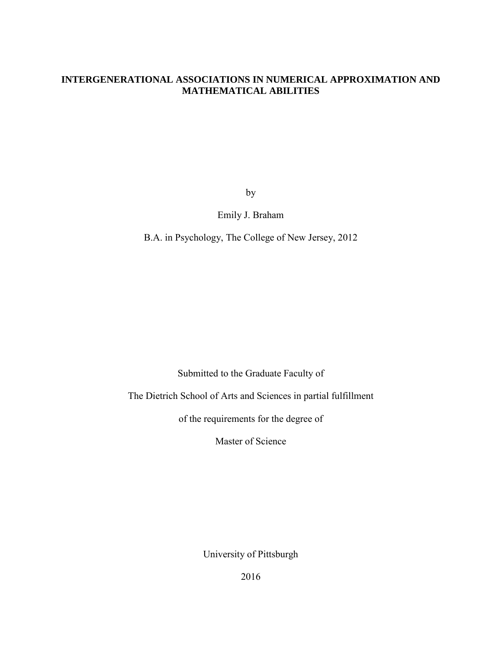# **INTERGENERATIONAL ASSOCIATIONS IN NUMERICAL APPROXIMATION AND MATHEMATICAL ABILITIES**

by

Emily J. Braham

B.A. in Psychology, The College of New Jersey, 2012

Submitted to the Graduate Faculty of

The Dietrich School of Arts and Sciences in partial fulfillment

of the requirements for the degree of

Master of Science

University of Pittsburgh

2016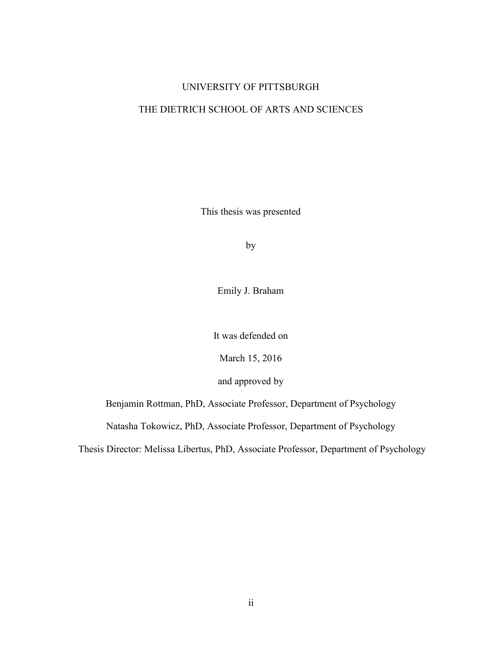# UNIVERSITY OF PITTSBURGH

# THE DIETRICH SCHOOL OF ARTS AND SCIENCES

This thesis was presented

by

Emily J. Braham

It was defended on

March 15, 2016

and approved by

Benjamin Rottman, PhD, Associate Professor, Department of Psychology

Natasha Tokowicz, PhD, Associate Professor, Department of Psychology

Thesis Director: Melissa Libertus, PhD, Associate Professor, Department of Psychology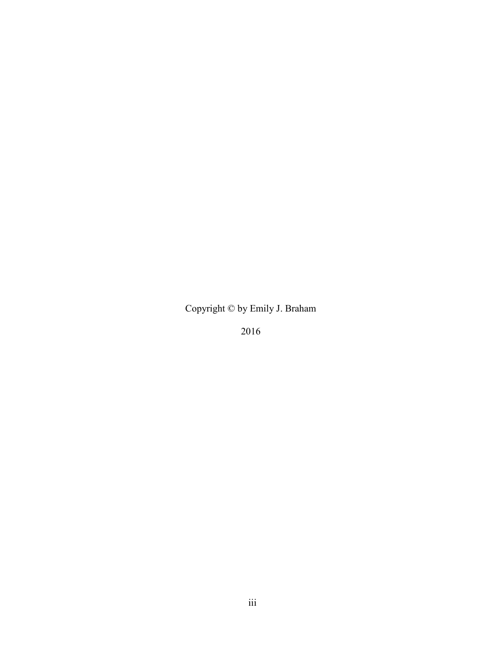Copyright © by Emily J. Braham

2016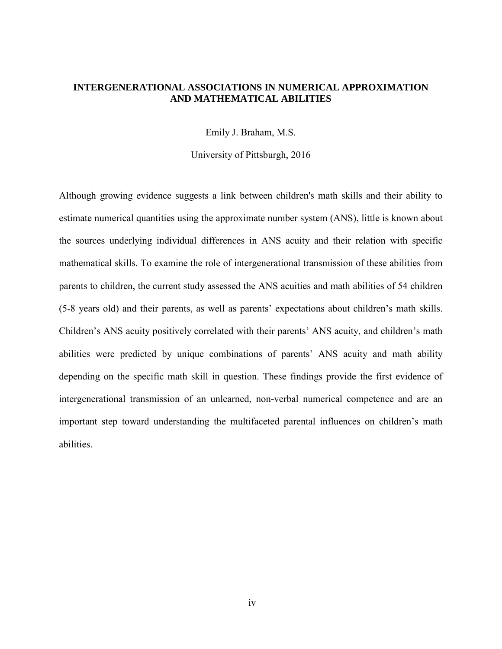# **INTERGENERATIONAL ASSOCIATIONS IN NUMERICAL APPROXIMATION AND MATHEMATICAL ABILITIES**

Emily J. Braham, M.S.

University of Pittsburgh, 2016

Although growing evidence suggests a link between children's math skills and their ability to estimate numerical quantities using the approximate number system (ANS), little is known about the sources underlying individual differences in ANS acuity and their relation with specific mathematical skills. To examine the role of intergenerational transmission of these abilities from parents to children, the current study assessed the ANS acuities and math abilities of 54 children (5-8 years old) and their parents, as well as parents' expectations about children's math skills. Children's ANS acuity positively correlated with their parents' ANS acuity, and children's math abilities were predicted by unique combinations of parents' ANS acuity and math ability depending on the specific math skill in question. These findings provide the first evidence of intergenerational transmission of an unlearned, non-verbal numerical competence and are an important step toward understanding the multifaceted parental influences on children's math abilities.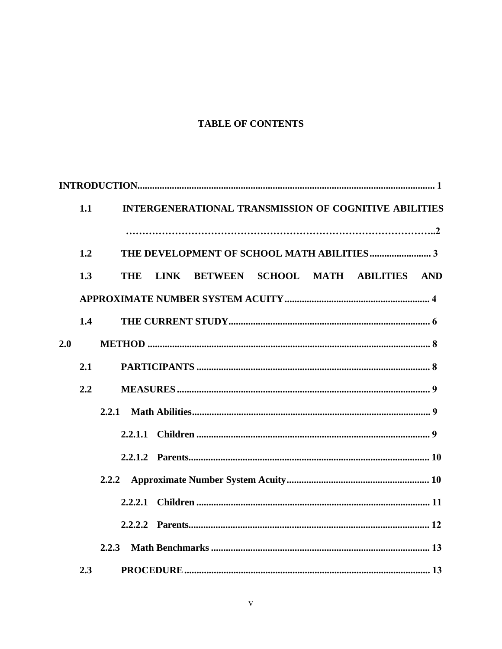# **TABLE OF CONTENTS**

|     | 1.1 | <b>INTERGENERATIONAL TRANSMISSION OF COGNITIVE ABILITIES</b> |
|-----|-----|--------------------------------------------------------------|
|     |     |                                                              |
|     | 1.2 |                                                              |
|     | 1.3 | LINK BETWEEN SCHOOL MATH ABILITIES AND<br><b>THE</b>         |
|     |     |                                                              |
|     | 1.4 |                                                              |
| 2.0 |     |                                                              |
|     | 2.1 |                                                              |
|     | 2.2 |                                                              |
|     |     |                                                              |
|     |     | 2.2.1.1                                                      |
|     |     |                                                              |
|     |     |                                                              |
|     |     | 2.2.2.1                                                      |
|     |     |                                                              |
|     |     |                                                              |
|     | 2.3 |                                                              |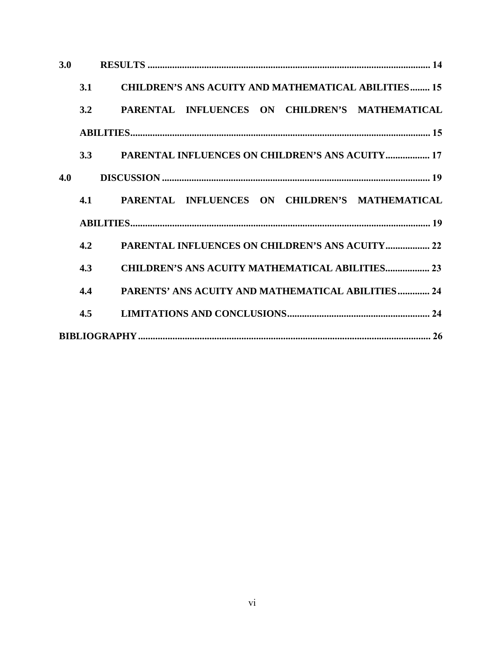| 3.0 |                                                          |
|-----|----------------------------------------------------------|
|     | 3.1 CHILDREN'S ANS ACUITY AND MATHEMATICAL ABILITIES 15  |
|     | 3.2 PARENTAL INFLUENCES ON CHILDREN'S MATHEMATICAL       |
|     |                                                          |
|     | 3.3 PARENTAL INFLUENCES ON CHILDREN'S ANS ACUITY 17      |
| 4.0 |                                                          |
|     | 4.1 PARENTAL INFLUENCES ON CHILDREN'S MATHEMATICAL       |
|     |                                                          |
| 4.2 | <b>PARENTAL INFLUENCES ON CHILDREN'S ANS ACUITY 22</b>   |
| 4.3 | <b>CHILDREN'S ANS ACUITY MATHEMATICAL ABILITIES 23</b>   |
| 4.4 | <b>PARENTS' ANS ACUITY AND MATHEMATICAL ABILITIES 24</b> |
| 4.5 |                                                          |
|     |                                                          |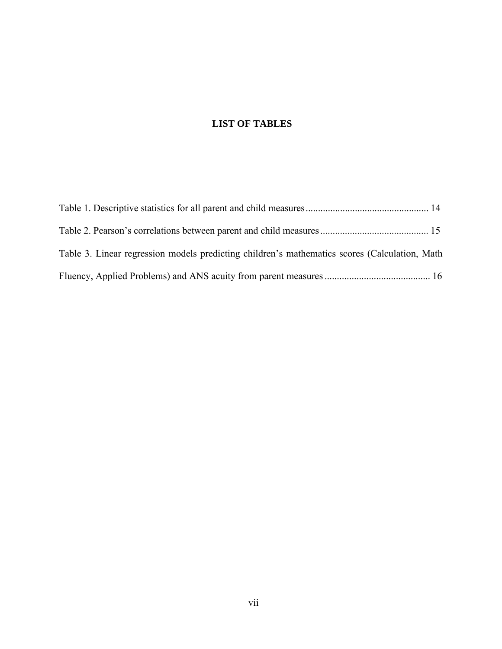# **LIST OF TABLES**

| Table 3. Linear regression models predicting children's mathematics scores (Calculation, Math |  |
|-----------------------------------------------------------------------------------------------|--|
|                                                                                               |  |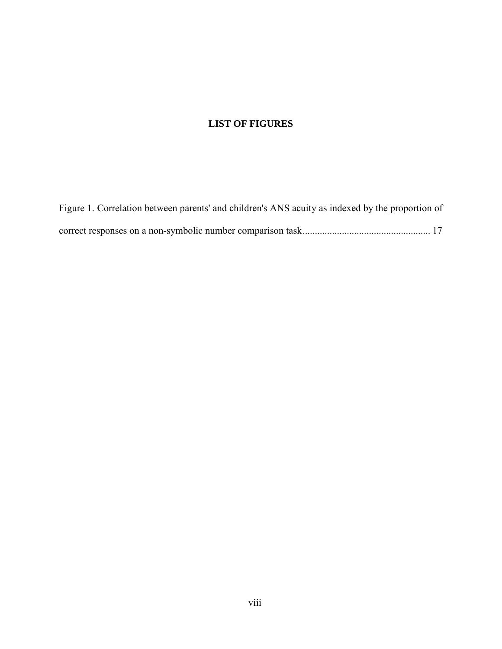# **LIST OF FIGURES**

[Figure 1. Correlation between parents' and children's ANS acuity as indexed by the proportion of](#page-24-1)  [correct responses on a non-symbolic number comparison task .................................................... 17](#page-24-1)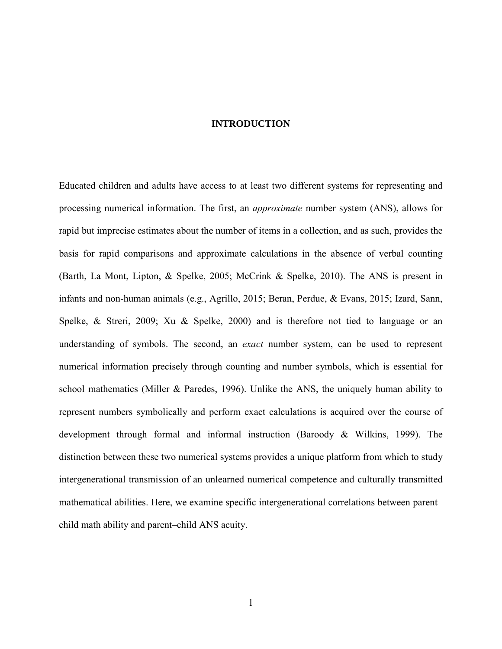#### <span id="page-8-0"></span>**INTRODUCTION**

Educated children and adults have access to at least two different systems for representing and processing numerical information. The first, an *approximate* number system (ANS), allows for rapid but imprecise estimates about the number of items in a collection, and as such, provides the basis for rapid comparisons and approximate calculations in the absence of verbal counting (Barth, La Mont, Lipton, & Spelke, 2005; McCrink & Spelke, 2010). The ANS is present in infants and non-human animals (e.g., Agrillo, 2015; Beran, Perdue, & Evans, 2015; Izard, Sann, Spelke, & Streri, 2009; Xu & Spelke, 2000) and is therefore not tied to language or an understanding of symbols. The second, an *exact* number system, can be used to represent numerical information precisely through counting and number symbols, which is essential for school mathematics (Miller & Paredes, 1996). Unlike the ANS, the uniquely human ability to represent numbers symbolically and perform exact calculations is acquired over the course of development through formal and informal instruction (Baroody & Wilkins, 1999). The distinction between these two numerical systems provides a unique platform from which to study intergenerational transmission of an unlearned numerical competence and culturally transmitted mathematical abilities. Here, we examine specific intergenerational correlations between parent– child math ability and parent–child ANS acuity.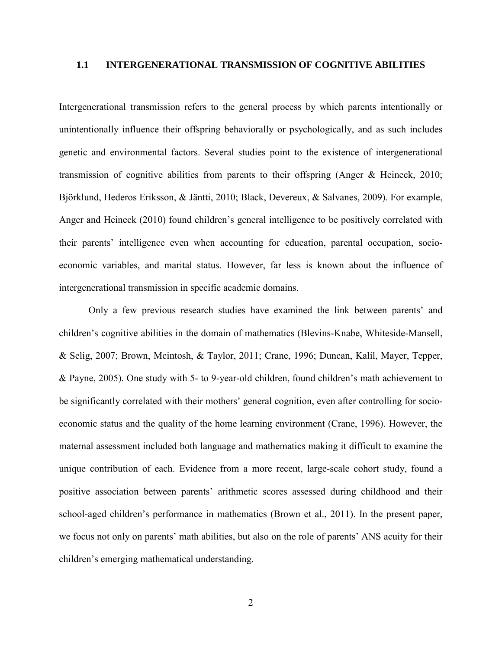#### <span id="page-9-0"></span>**1.1 INTERGENERATIONAL TRANSMISSION OF COGNITIVE ABILITIES**

Intergenerational transmission refers to the general process by which parents intentionally or unintentionally influence their offspring behaviorally or psychologically, and as such includes genetic and environmental factors. Several studies point to the existence of intergenerational transmission of cognitive abilities from parents to their offspring (Anger & Heineck, 2010; Björklund, Hederos Eriksson, & Jäntti, 2010; Black, Devereux, & Salvanes, 2009). For example, Anger and Heineck (2010) found children's general intelligence to be positively correlated with their parents' intelligence even when accounting for education, parental occupation, socioeconomic variables, and marital status. However, far less is known about the influence of intergenerational transmission in specific academic domains.

Only a few previous research studies have examined the link between parents' and children's cognitive abilities in the domain of mathematics (Blevins-Knabe, Whiteside-Mansell, & Selig, 2007; Brown, Mcintosh, & Taylor, 2011; Crane, 1996; Duncan, Kalil, Mayer, Tepper, & Payne, 2005). One study with 5- to 9-year-old children, found children's math achievement to be significantly correlated with their mothers' general cognition, even after controlling for socioeconomic status and the quality of the home learning environment (Crane, 1996). However, the maternal assessment included both language and mathematics making it difficult to examine the unique contribution of each. Evidence from a more recent, large-scale cohort study, found a positive association between parents' arithmetic scores assessed during childhood and their school-aged children's performance in mathematics (Brown et al., 2011). In the present paper, we focus not only on parents' math abilities, but also on the role of parents' ANS acuity for their children's emerging mathematical understanding.

2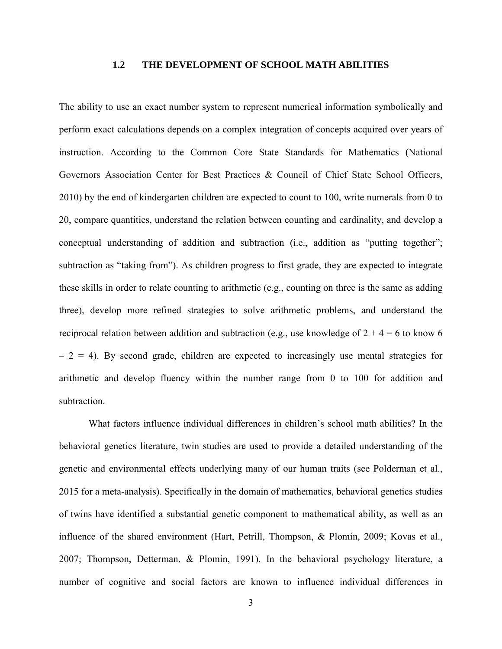## **1.2 THE DEVELOPMENT OF SCHOOL MATH ABILITIES**

<span id="page-10-0"></span>The ability to use an exact number system to represent numerical information symbolically and perform exact calculations depends on a complex integration of concepts acquired over years of instruction. According to the Common Core State Standards for Mathematics (National Governors Association Center for Best Practices & Council of Chief State School Officers, 2010) by the end of kindergarten children are expected to count to 100, write numerals from 0 to 20, compare quantities, understand the relation between counting and cardinality, and develop a conceptual understanding of addition and subtraction (i.e., addition as "putting together"; subtraction as "taking from"). As children progress to first grade, they are expected to integrate these skills in order to relate counting to arithmetic (e.g., counting on three is the same as adding three), develop more refined strategies to solve arithmetic problems, and understand the reciprocal relation between addition and subtraction (e.g., use knowledge of  $2 + 4 = 6$  to know 6  $-2 = 4$ ). By second grade, children are expected to increasingly use mental strategies for arithmetic and develop fluency within the number range from 0 to 100 for addition and subtraction.

What factors influence individual differences in children's school math abilities? In the behavioral genetics literature, twin studies are used to provide a detailed understanding of the genetic and environmental effects underlying many of our human traits (see Polderman et al., 2015 for a meta-analysis). Specifically in the domain of mathematics, behavioral genetics studies of twins have identified a substantial genetic component to mathematical ability, as well as an influence of the shared environment (Hart, Petrill, Thompson, & Plomin, 2009; Kovas et al., 2007; Thompson, Detterman, & Plomin, 1991). In the behavioral psychology literature, a number of cognitive and social factors are known to influence individual differences in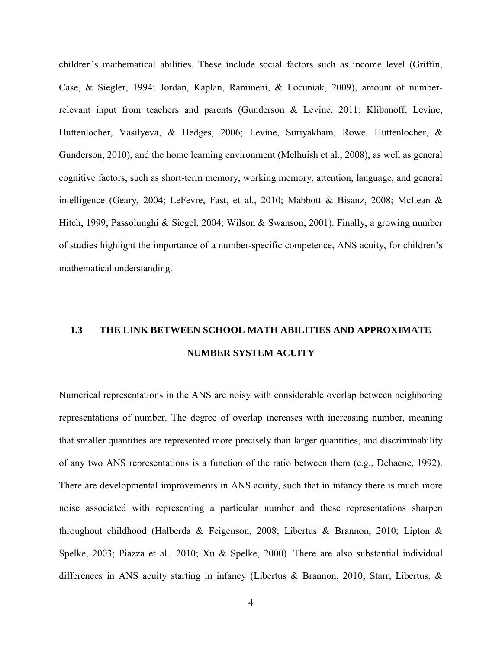children's mathematical abilities. These include social factors such as income level (Griffin, Case, & Siegler, 1994; Jordan, Kaplan, Ramineni, & Locuniak, 2009), amount of numberrelevant input from teachers and parents (Gunderson & Levine, 2011; Klibanoff, Levine, Huttenlocher, Vasilyeva, & Hedges, 2006; Levine, Suriyakham, Rowe, Huttenlocher, & Gunderson, 2010), and the home learning environment (Melhuish et al., 2008), as well as general cognitive factors, such as short-term memory, working memory, attention, language, and general intelligence (Geary, 2004; LeFevre, Fast, et al., 2010; Mabbott & Bisanz, 2008; McLean & Hitch, 1999; Passolunghi & Siegel, 2004; Wilson & Swanson, 2001). Finally, a growing number of studies highlight the importance of a number-specific competence, ANS acuity, for children's mathematical understanding.

# <span id="page-11-0"></span>**1.3 THE LINK BETWEEN SCHOOL MATH ABILITIES AND APPROXIMATE NUMBER SYSTEM ACUITY**

Numerical representations in the ANS are noisy with considerable overlap between neighboring representations of number. The degree of overlap increases with increasing number, meaning that smaller quantities are represented more precisely than larger quantities, and discriminability of any two ANS representations is a function of the ratio between them (e.g., Dehaene, 1992). There are developmental improvements in ANS acuity, such that in infancy there is much more noise associated with representing a particular number and these representations sharpen throughout childhood (Halberda & Feigenson, 2008; Libertus & Brannon, 2010; Lipton & Spelke, 2003; Piazza et al., 2010; Xu & Spelke, 2000). There are also substantial individual differences in ANS acuity starting in infancy (Libertus & Brannon, 2010; Starr, Libertus, &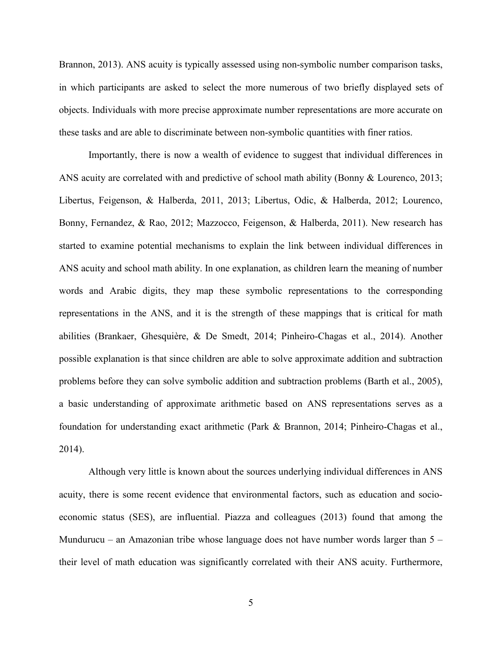Brannon, 2013). ANS acuity is typically assessed using non-symbolic number comparison tasks, in which participants are asked to select the more numerous of two briefly displayed sets of objects. Individuals with more precise approximate number representations are more accurate on these tasks and are able to discriminate between non-symbolic quantities with finer ratios.

Importantly, there is now a wealth of evidence to suggest that individual differences in ANS acuity are correlated with and predictive of school math ability (Bonny & Lourenco, 2013; Libertus, Feigenson, & Halberda, 2011, 2013; Libertus, Odic, & Halberda, 2012; Lourenco, Bonny, Fernandez, & Rao, 2012; Mazzocco, Feigenson, & Halberda, 2011). New research has started to examine potential mechanisms to explain the link between individual differences in ANS acuity and school math ability. In one explanation, as children learn the meaning of number words and Arabic digits, they map these symbolic representations to the corresponding representations in the ANS, and it is the strength of these mappings that is critical for math abilities (Brankaer, Ghesquière, & De Smedt, 2014; Pinheiro-Chagas et al., 2014). Another possible explanation is that since children are able to solve approximate addition and subtraction problems before they can solve symbolic addition and subtraction problems (Barth et al., 2005), a basic understanding of approximate arithmetic based on ANS representations serves as a foundation for understanding exact arithmetic (Park & Brannon, 2014; Pinheiro-Chagas et al., 2014).

Although very little is known about the sources underlying individual differences in ANS acuity, there is some recent evidence that environmental factors, such as education and socioeconomic status (SES), are influential. Piazza and colleagues (2013) found that among the Mundurucu – an Amazonian tribe whose language does not have number words larger than 5 – their level of math education was significantly correlated with their ANS acuity. Furthermore,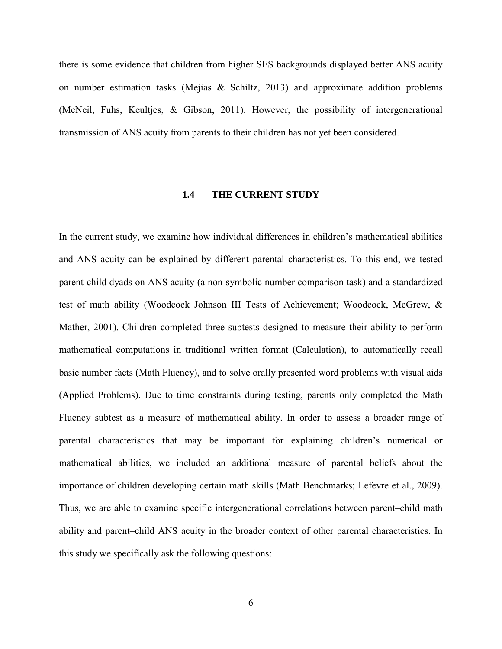there is some evidence that children from higher SES backgrounds displayed better ANS acuity on number estimation tasks (Mejias & Schiltz, 2013) and approximate addition problems (McNeil, Fuhs, Keultjes, & Gibson, 2011). However, the possibility of intergenerational transmission of ANS acuity from parents to their children has not yet been considered.

# **1.4 THE CURRENT STUDY**

<span id="page-13-0"></span>In the current study, we examine how individual differences in children's mathematical abilities and ANS acuity can be explained by different parental characteristics. To this end, we tested parent-child dyads on ANS acuity (a non-symbolic number comparison task) and a standardized test of math ability (Woodcock Johnson III Tests of Achievement; Woodcock, McGrew, & Mather, 2001). Children completed three subtests designed to measure their ability to perform mathematical computations in traditional written format (Calculation), to automatically recall basic number facts (Math Fluency), and to solve orally presented word problems with visual aids (Applied Problems). Due to time constraints during testing, parents only completed the Math Fluency subtest as a measure of mathematical ability. In order to assess a broader range of parental characteristics that may be important for explaining children's numerical or mathematical abilities, we included an additional measure of parental beliefs about the importance of children developing certain math skills (Math Benchmarks; Lefevre et al., 2009). Thus, we are able to examine specific intergenerational correlations between parent–child math ability and parent–child ANS acuity in the broader context of other parental characteristics. In this study we specifically ask the following questions: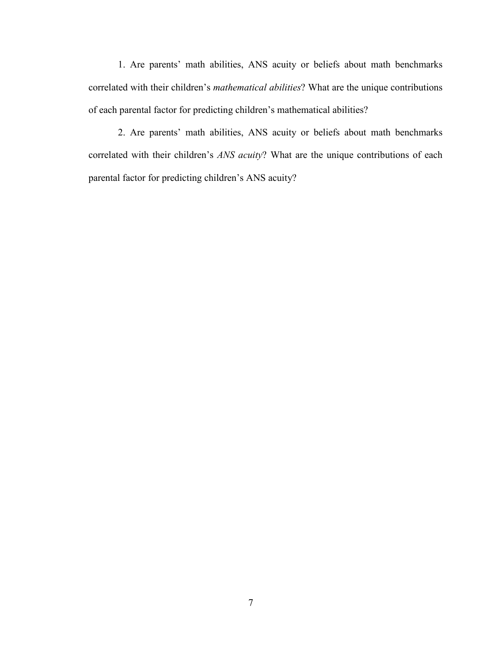1. Are parents' math abilities, ANS acuity or beliefs about math benchmarks correlated with their children's *mathematical abilities*? What are the unique contributions of each parental factor for predicting children's mathematical abilities?

2. Are parents' math abilities, ANS acuity or beliefs about math benchmarks correlated with their children's *ANS acuity*? What are the unique contributions of each parental factor for predicting children's ANS acuity?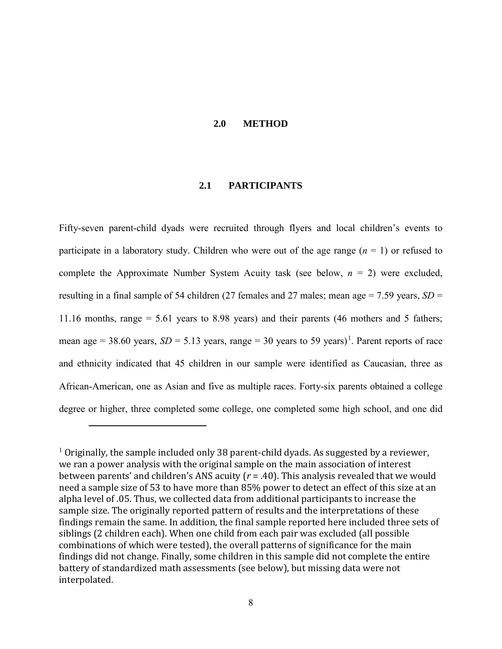#### **2.0 METHOD**

# **2.1 PARTICIPANTS**

<span id="page-15-1"></span><span id="page-15-0"></span>Fifty-seven parent-child dyads were recruited through flyers and local children's events to participate in a laboratory study. Children who were out of the age range (*n* = 1) or refused to complete the Approximate Number System Acuity task (see below,  $n = 2$ ) were excluded, resulting in a final sample of 54 children (27 females and 27 males; mean age = 7.59 years, *SD* = 11.16 months, range = 5.61 years to 8.98 years) and their parents (46 mothers and 5 fathers; mean age = 38.60 years,  $SD = 5.13$  $SD = 5.13$  $SD = 5.13$  years, range = 30 years to 59 years)<sup>1</sup>. Parent reports of race and ethnicity indicated that 45 children in our sample were identified as Caucasian, three as African-American, one as Asian and five as multiple races. Forty-six parents obtained a college degree or higher, three completed some college, one completed some high school, and one did

<span id="page-15-2"></span> $1$  Originally, the sample included only 38 parent-child dyads. As suggested by a reviewer, we ran a power analysis with the original sample on the main association of interest between parents' and children's ANS acuity (*r* = .40). This analysis revealed that we would need a sample size of 53 to have more than 85% power to detect an effect of this size at an alpha level of .05. Thus, we collected data from additional participants to increase the sample size. The originally reported pattern of results and the interpretations of these findings remain the same. In addition, the final sample reported here included three sets of siblings (2 children each). When one child from each pair was excluded (all possible combinations of which were tested), the overall patterns of significance for the main findings did not change. Finally, some children in this sample did not complete the entire battery of standardized math assessments (see below), but missing data were not interpolated.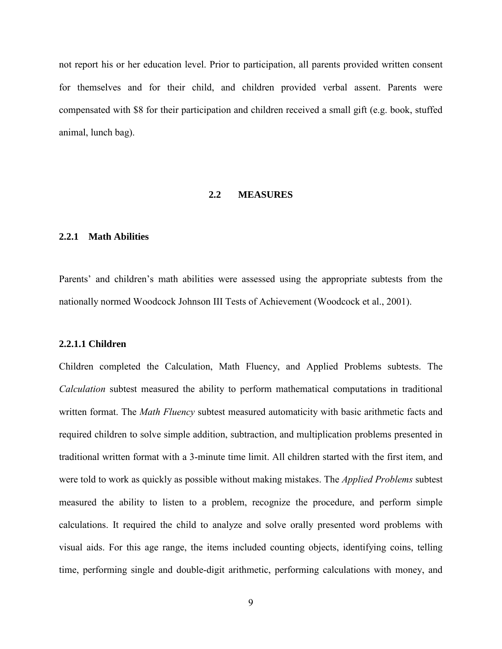not report his or her education level. Prior to participation, all parents provided written consent for themselves and for their child, and children provided verbal assent. Parents were compensated with \$8 for their participation and children received a small gift (e.g. book, stuffed animal, lunch bag).

#### **2.2 MEASURES**

#### <span id="page-16-1"></span><span id="page-16-0"></span>**2.2.1 Math Abilities**

Parents' and children's math abilities were assessed using the appropriate subtests from the nationally normed Woodcock Johnson III Tests of Achievement (Woodcock et al., 2001).

#### <span id="page-16-2"></span>**2.2.1.1 Children**

Children completed the Calculation, Math Fluency, and Applied Problems subtests. The *Calculation* subtest measured the ability to perform mathematical computations in traditional written format. The *Math Fluency* subtest measured automaticity with basic arithmetic facts and required children to solve simple addition, subtraction, and multiplication problems presented in traditional written format with a 3-minute time limit. All children started with the first item, and were told to work as quickly as possible without making mistakes. The *Applied Problems* subtest measured the ability to listen to a problem, recognize the procedure, and perform simple calculations. It required the child to analyze and solve orally presented word problems with visual aids. For this age range, the items included counting objects, identifying coins, telling time, performing single and double-digit arithmetic, performing calculations with money, and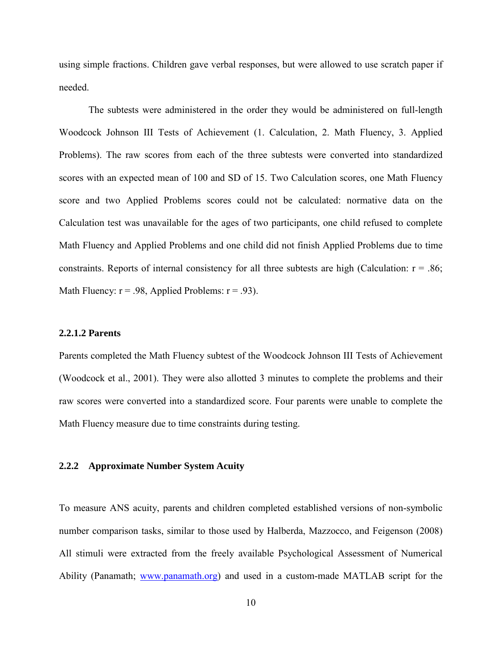using simple fractions. Children gave verbal responses, but were allowed to use scratch paper if needed.

The subtests were administered in the order they would be administered on full-length Woodcock Johnson III Tests of Achievement (1. Calculation, 2. Math Fluency, 3. Applied Problems). The raw scores from each of the three subtests were converted into standardized scores with an expected mean of 100 and SD of 15. Two Calculation scores, one Math Fluency score and two Applied Problems scores could not be calculated: normative data on the Calculation test was unavailable for the ages of two participants, one child refused to complete Math Fluency and Applied Problems and one child did not finish Applied Problems due to time constraints. Reports of internal consistency for all three subtests are high (Calculation:  $r = .86$ ; Math Fluency:  $r = .98$ , Applied Problems:  $r = .93$ ).

# <span id="page-17-0"></span>**2.2.1.2 Parents**

Parents completed the Math Fluency subtest of the Woodcock Johnson III Tests of Achievement (Woodcock et al., 2001). They were also allotted 3 minutes to complete the problems and their raw scores were converted into a standardized score. Four parents were unable to complete the Math Fluency measure due to time constraints during testing.

## <span id="page-17-1"></span>**2.2.2 Approximate Number System Acuity**

To measure ANS acuity, parents and children completed established versions of non-symbolic number comparison tasks, similar to those used by Halberda, Mazzocco, and Feigenson (2008) All stimuli were extracted from the freely available Psychological Assessment of Numerical Ability (Panamath; [www.panamath.org\)](http://www.panamath.org/) and used in a custom-made MATLAB script for the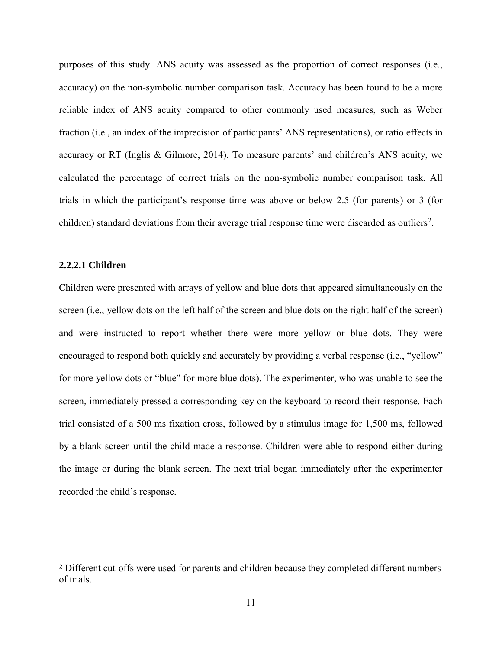purposes of this study. ANS acuity was assessed as the proportion of correct responses (i.e., accuracy) on the non-symbolic number comparison task. Accuracy has been found to be a more reliable index of ANS acuity compared to other commonly used measures, such as Weber fraction (i.e., an index of the imprecision of participants' ANS representations), or ratio effects in accuracy or RT (Inglis & Gilmore, 2014). To measure parents' and children's ANS acuity, we calculated the percentage of correct trials on the non-symbolic number comparison task. All trials in which the participant's response time was above or below 2.5 (for parents) or 3 (for children) standard deviations from their average trial response time were discarded as outliers<sup>[2](#page-18-1)</sup>.

#### <span id="page-18-0"></span>**2.2.2.1 Children**

Children were presented with arrays of yellow and blue dots that appeared simultaneously on the screen (i.e., yellow dots on the left half of the screen and blue dots on the right half of the screen) and were instructed to report whether there were more yellow or blue dots. They were encouraged to respond both quickly and accurately by providing a verbal response (i.e., "yellow" for more yellow dots or "blue" for more blue dots). The experimenter, who was unable to see the screen, immediately pressed a corresponding key on the keyboard to record their response. Each trial consisted of a 500 ms fixation cross, followed by a stimulus image for 1,500 ms, followed by a blank screen until the child made a response. Children were able to respond either during the image or during the blank screen. The next trial began immediately after the experimenter recorded the child's response.

<span id="page-18-1"></span><sup>2</sup> Different cut-offs were used for parents and children because they completed different numbers of trials.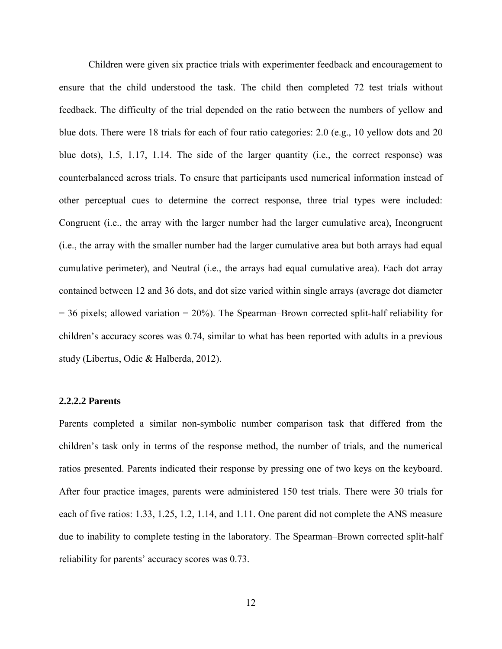Children were given six practice trials with experimenter feedback and encouragement to ensure that the child understood the task. The child then completed 72 test trials without feedback. The difficulty of the trial depended on the ratio between the numbers of yellow and blue dots. There were 18 trials for each of four ratio categories: 2.0 (e.g., 10 yellow dots and 20 blue dots), 1.5, 1.17, 1.14. The side of the larger quantity (i.e., the correct response) was counterbalanced across trials. To ensure that participants used numerical information instead of other perceptual cues to determine the correct response, three trial types were included: Congruent (i.e., the array with the larger number had the larger cumulative area), Incongruent (i.e., the array with the smaller number had the larger cumulative area but both arrays had equal cumulative perimeter), and Neutral (i.e., the arrays had equal cumulative area). Each dot array contained between 12 and 36 dots, and dot size varied within single arrays (average dot diameter  $= 36$  pixels; allowed variation  $= 20\%$ ). The Spearman–Brown corrected split-half reliability for children's accuracy scores was 0.74, similar to what has been reported with adults in a previous study (Libertus, Odic & Halberda, 2012).

# <span id="page-19-0"></span>**2.2.2.2 Parents**

Parents completed a similar non-symbolic number comparison task that differed from the children's task only in terms of the response method, the number of trials, and the numerical ratios presented. Parents indicated their response by pressing one of two keys on the keyboard. After four practice images, parents were administered 150 test trials. There were 30 trials for each of five ratios: 1.33, 1.25, 1.2, 1.14, and 1.11. One parent did not complete the ANS measure due to inability to complete testing in the laboratory. The Spearman–Brown corrected split-half reliability for parents' accuracy scores was 0.73.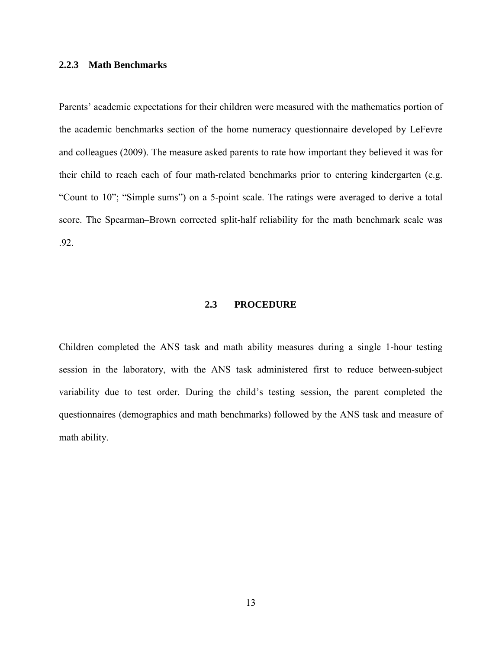# <span id="page-20-0"></span>**2.2.3 Math Benchmarks**

Parents' academic expectations for their children were measured with the mathematics portion of the academic benchmarks section of the home numeracy questionnaire developed by LeFevre and colleagues (2009). The measure asked parents to rate how important they believed it was for their child to reach each of four math-related benchmarks prior to entering kindergarten (e.g. "Count to 10"; "Simple sums") on a 5-point scale. The ratings were averaged to derive a total score. The Spearman–Brown corrected split-half reliability for the math benchmark scale was .92.

#### **2.3 PROCEDURE**

<span id="page-20-1"></span>Children completed the ANS task and math ability measures during a single 1-hour testing session in the laboratory, with the ANS task administered first to reduce between-subject variability due to test order. During the child's testing session, the parent completed the questionnaires (demographics and math benchmarks) followed by the ANS task and measure of math ability.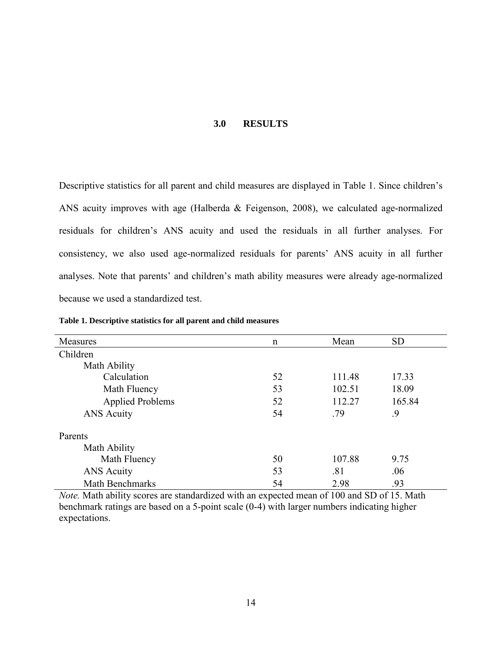## **3.0 RESULTS**

<span id="page-21-0"></span>Descriptive statistics for all parent and child measures are displayed in Table 1. Since children's ANS acuity improves with age (Halberda & Feigenson, 2008), we calculated age-normalized residuals for children's ANS acuity and used the residuals in all further analyses. For consistency, we also used age-normalized residuals for parents' ANS acuity in all further analyses. Note that parents' and children's math ability measures were already age-normalized because we used a standardized test.

| Measures                | $\mathbf n$ | Mean   | <b>SD</b> |
|-------------------------|-------------|--------|-----------|
| Children                |             |        |           |
| Math Ability            |             |        |           |
| Calculation             | 52          | 111.48 | 17.33     |
| Math Fluency            | 53          | 102.51 | 18.09     |
| <b>Applied Problems</b> | 52          | 112.27 | 165.84    |
| <b>ANS Acuity</b>       | 54          | .79    | .9        |
| Parents                 |             |        |           |
| Math Ability            |             |        |           |
| Math Fluency            | 50          | 107.88 | 9.75      |
| <b>ANS</b> Acuity       | 53          | .81    | .06       |
| <b>Math Benchmarks</b>  | 54          | 2.98   | .93       |

<span id="page-21-1"></span>**Table 1. Descriptive statistics for all parent and child measures**

*Note.* Math ability scores are standardized with an expected mean of 100 and SD of 15. Math benchmark ratings are based on a 5-point scale (0-4) with larger numbers indicating higher expectations.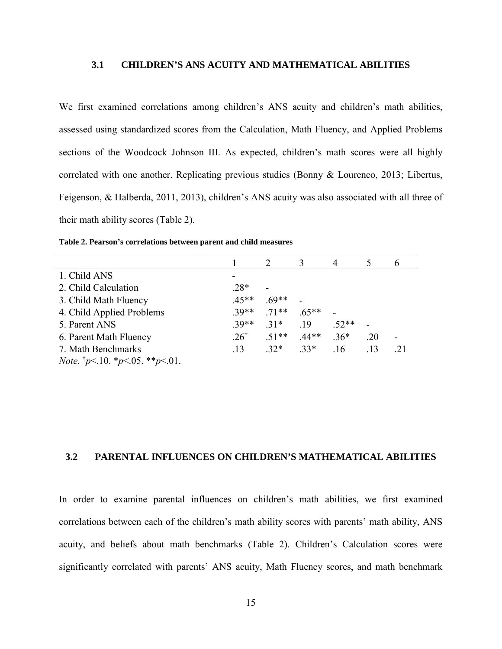# <span id="page-22-0"></span>**3.1 CHILDREN'S ANS ACUITY AND MATHEMATICAL ABILITIES**

We first examined correlations among children's ANS acuity and children's math abilities, assessed using standardized scores from the Calculation, Math Fluency, and Applied Problems sections of the Woodcock Johnson III. As expected, children's math scores were all highly correlated with one another. Replicating previous studies (Bonny & Lourenco, 2013; Libertus, Feigenson, & Halberda, 2011, 2013), children's ANS acuity was also associated with all three of their math ability scores (Table 2).

|                           |                 |        |         | 4      |     |   |
|---------------------------|-----------------|--------|---------|--------|-----|---|
| 1. Child ANS              |                 |        |         |        |     |   |
| 2. Child Calculation      | $.28*$          |        |         |        |     |   |
| 3. Child Math Fluency     | $45**$          | $69**$ |         |        |     |   |
| 4. Child Applied Problems | $39**$          | $71**$ | $65**$  |        |     |   |
| 5. Parent ANS             | $39**$          | $31*$  | -19     | $52**$ |     |   |
| 6. Parent Math Fluency    | $.26^{\dagger}$ | $51**$ | $.44**$ | $.36*$ | .20 | - |
| 7. Math Benchmarks        | .13             | $32*$  | $33*$   | .16    | .13 |   |

<span id="page-22-2"></span>**Table 2. Pearson's correlations between parent and child measures**

*Note.* † *p*<.10. \**p*<.05. \*\**p*<.01.

#### <span id="page-22-1"></span>**3.2 PARENTAL INFLUENCES ON CHILDREN'S MATHEMATICAL ABILITIES**

In order to examine parental influences on children's math abilities, we first examined correlations between each of the children's math ability scores with parents' math ability, ANS acuity, and beliefs about math benchmarks (Table 2). Children's Calculation scores were significantly correlated with parents' ANS acuity, Math Fluency scores, and math benchmark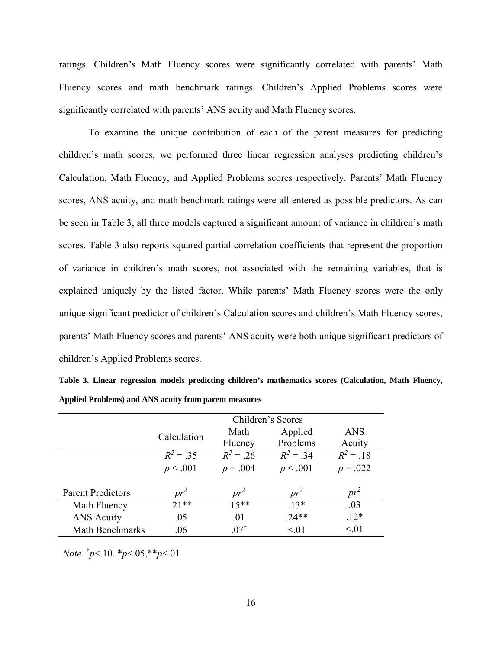ratings. Children's Math Fluency scores were significantly correlated with parents' Math Fluency scores and math benchmark ratings. Children's Applied Problems scores were significantly correlated with parents' ANS acuity and Math Fluency scores.

To examine the unique contribution of each of the parent measures for predicting children's math scores, we performed three linear regression analyses predicting children's Calculation, Math Fluency, and Applied Problems scores respectively. Parents' Math Fluency scores, ANS acuity, and math benchmark ratings were all entered as possible predictors. As can be seen in Table 3, all three models captured a significant amount of variance in children's math scores. Table 3 also reports squared partial correlation coefficients that represent the proportion of variance in children's math scores, not associated with the remaining variables, that is explained uniquely by the listed factor. While parents' Math Fluency scores were the only unique significant predictor of children's Calculation scores and children's Math Fluency scores, parents' Math Fluency scores and parents' ANS acuity were both unique significant predictors of children's Applied Problems scores.

<span id="page-23-0"></span>**Table 3. Linear regression models predicting children's mathematics scores (Calculation, Math Fluency, Applied Problems) and ANS acuity from parent measures**

|                          | Children's Scores |                |             |             |  |
|--------------------------|-------------------|----------------|-------------|-------------|--|
|                          | Calculation       | Math           | Applied     | ANS         |  |
|                          |                   | Fluency        | Problems    | Acuity      |  |
|                          | $R^2 = .35$       | $R^2 = .26$    | $R^2 = .34$ | $R^2 = .18$ |  |
|                          | p < .001          | $p = .004$     | p < .001    | $p = .022$  |  |
| <b>Parent Predictors</b> | $pr^2$            | $pr^2$         | $pr^2$      | $pr^2$      |  |
| Math Fluency             | $21**$            | $.15**$        | $.13*$      | .03         |  |
| <b>ANS Acuity</b>        | .05               | .01            | $.24**$     | $.12*$      |  |
| Math Benchmarks          | .06               | $07^{\dagger}$ | $\leq 01$   | $\leq 01$   |  |

*Note.* † *p*<.10. \**p*<.05,\*\**p*<.01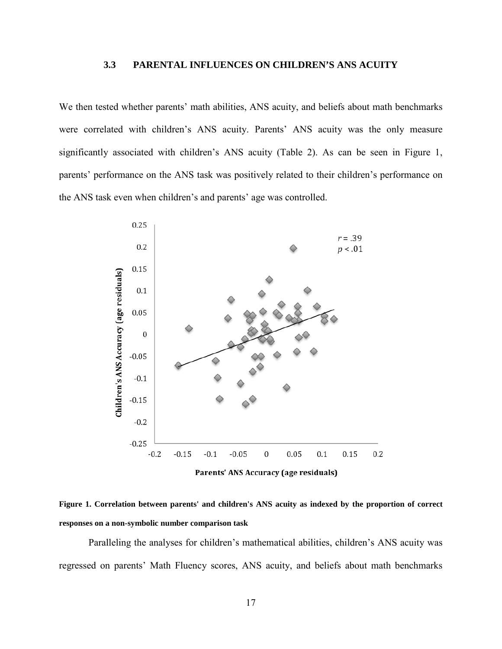#### **3.3 PARENTAL INFLUENCES ON CHILDREN'S ANS ACUITY**

<span id="page-24-0"></span>We then tested whether parents' math abilities, ANS acuity, and beliefs about math benchmarks were correlated with children's ANS acuity. Parents' ANS acuity was the only measure significantly associated with children's ANS acuity (Table 2). As can be seen in Figure 1, parents' performance on the ANS task was positively related to their children's performance on the ANS task even when children's and parents' age was controlled.



<span id="page-24-1"></span>**Figure 1. Correlation between parents' and children's ANS acuity as indexed by the proportion of correct responses on a non-symbolic number comparison task**

Paralleling the analyses for children's mathematical abilities, children's ANS acuity was regressed on parents' Math Fluency scores, ANS acuity, and beliefs about math benchmarks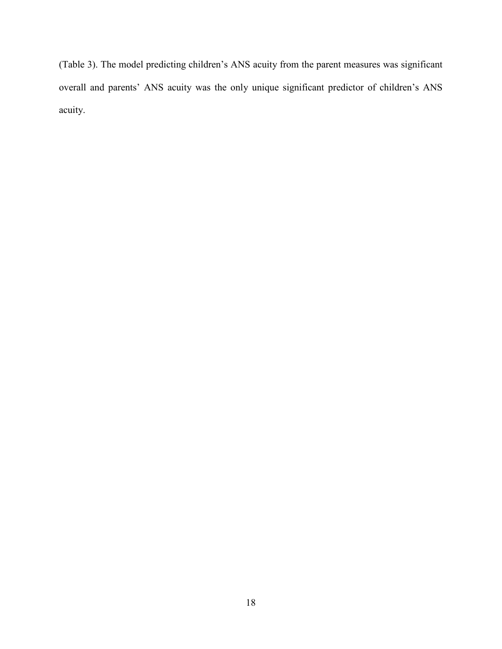(Table 3). The model predicting children's ANS acuity from the parent measures was significant overall and parents' ANS acuity was the only unique significant predictor of children's ANS acuity.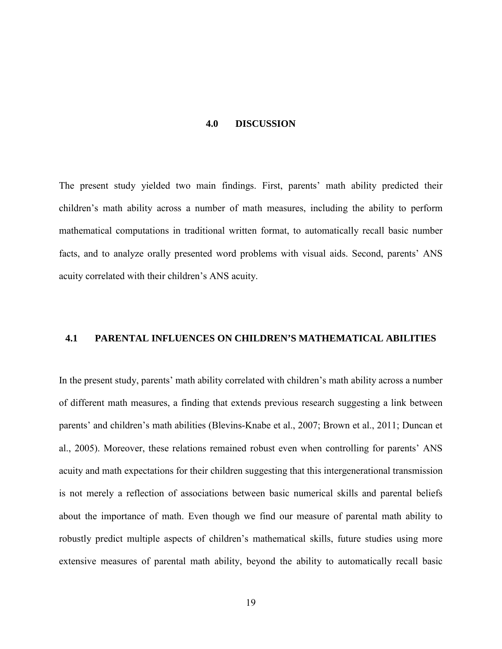#### **4.0 DISCUSSION**

<span id="page-26-0"></span>The present study yielded two main findings. First, parents' math ability predicted their children's math ability across a number of math measures, including the ability to perform mathematical computations in traditional written format, to automatically recall basic number facts, and to analyze orally presented word problems with visual aids. Second, parents' ANS acuity correlated with their children's ANS acuity.

# <span id="page-26-1"></span>**4.1 PARENTAL INFLUENCES ON CHILDREN'S MATHEMATICAL ABILITIES**

In the present study, parents' math ability correlated with children's math ability across a number of different math measures, a finding that extends previous research suggesting a link between parents' and children's math abilities (Blevins-Knabe et al., 2007; Brown et al., 2011; Duncan et al., 2005). Moreover, these relations remained robust even when controlling for parents' ANS acuity and math expectations for their children suggesting that this intergenerational transmission is not merely a reflection of associations between basic numerical skills and parental beliefs about the importance of math. Even though we find our measure of parental math ability to robustly predict multiple aspects of children's mathematical skills, future studies using more extensive measures of parental math ability, beyond the ability to automatically recall basic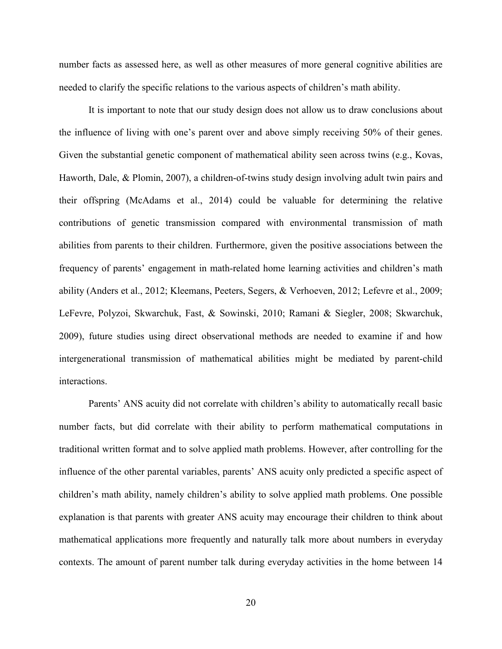number facts as assessed here, as well as other measures of more general cognitive abilities are needed to clarify the specific relations to the various aspects of children's math ability.

It is important to note that our study design does not allow us to draw conclusions about the influence of living with one's parent over and above simply receiving 50% of their genes. Given the substantial genetic component of mathematical ability seen across twins (e.g., Kovas, Haworth, Dale, & Plomin, 2007), a children-of-twins study design involving adult twin pairs and their offspring (McAdams et al., 2014) could be valuable for determining the relative contributions of genetic transmission compared with environmental transmission of math abilities from parents to their children. Furthermore, given the positive associations between the frequency of parents' engagement in math-related home learning activities and children's math ability (Anders et al., 2012; Kleemans, Peeters, Segers, & Verhoeven, 2012; Lefevre et al., 2009; LeFevre, Polyzoi, Skwarchuk, Fast, & Sowinski, 2010; Ramani & Siegler, 2008; Skwarchuk, 2009), future studies using direct observational methods are needed to examine if and how intergenerational transmission of mathematical abilities might be mediated by parent-child interactions.

Parents' ANS acuity did not correlate with children's ability to automatically recall basic number facts, but did correlate with their ability to perform mathematical computations in traditional written format and to solve applied math problems. However, after controlling for the influence of the other parental variables, parents' ANS acuity only predicted a specific aspect of children's math ability, namely children's ability to solve applied math problems. One possible explanation is that parents with greater ANS acuity may encourage their children to think about mathematical applications more frequently and naturally talk more about numbers in everyday contexts. The amount of parent number talk during everyday activities in the home between 14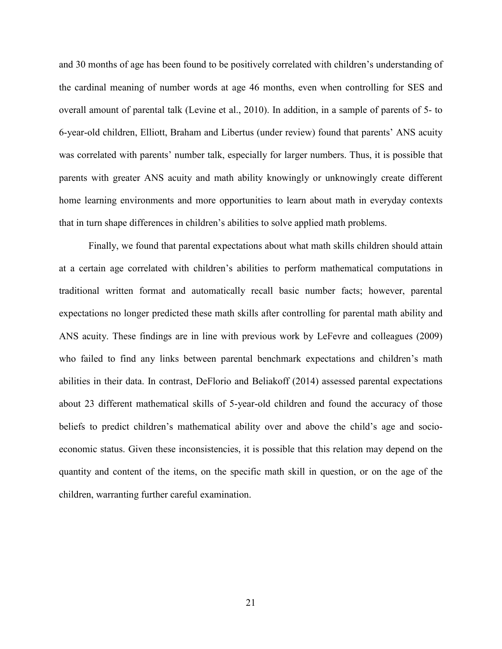and 30 months of age has been found to be positively correlated with children's understanding of the cardinal meaning of number words at age 46 months, even when controlling for SES and overall amount of parental talk (Levine et al., 2010). In addition, in a sample of parents of 5- to 6-year-old children, Elliott, Braham and Libertus (under review) found that parents' ANS acuity was correlated with parents' number talk, especially for larger numbers. Thus, it is possible that parents with greater ANS acuity and math ability knowingly or unknowingly create different home learning environments and more opportunities to learn about math in everyday contexts that in turn shape differences in children's abilities to solve applied math problems.

Finally, we found that parental expectations about what math skills children should attain at a certain age correlated with children's abilities to perform mathematical computations in traditional written format and automatically recall basic number facts; however, parental expectations no longer predicted these math skills after controlling for parental math ability and ANS acuity. These findings are in line with previous work by LeFevre and colleagues (2009) who failed to find any links between parental benchmark expectations and children's math abilities in their data. In contrast, DeFlorio and Beliakoff (2014) assessed parental expectations about 23 different mathematical skills of 5-year-old children and found the accuracy of those beliefs to predict children's mathematical ability over and above the child's age and socioeconomic status. Given these inconsistencies, it is possible that this relation may depend on the quantity and content of the items, on the specific math skill in question, or on the age of the children, warranting further careful examination.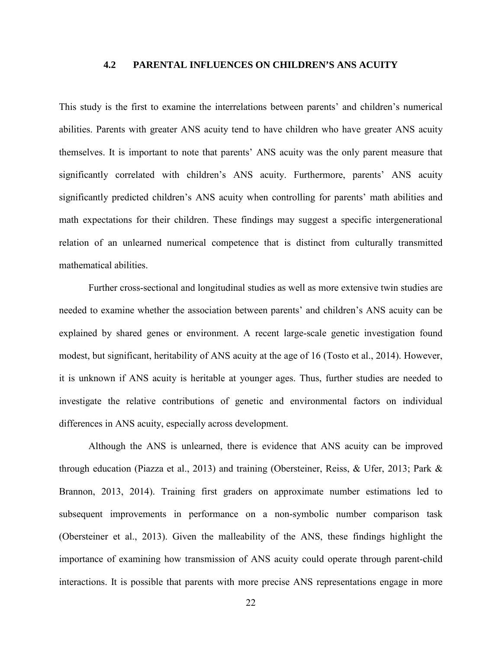## **4.2 PARENTAL INFLUENCES ON CHILDREN'S ANS ACUITY**

<span id="page-29-0"></span>This study is the first to examine the interrelations between parents' and children's numerical abilities. Parents with greater ANS acuity tend to have children who have greater ANS acuity themselves. It is important to note that parents' ANS acuity was the only parent measure that significantly correlated with children's ANS acuity. Furthermore, parents' ANS acuity significantly predicted children's ANS acuity when controlling for parents' math abilities and math expectations for their children. These findings may suggest a specific intergenerational relation of an unlearned numerical competence that is distinct from culturally transmitted mathematical abilities.

Further cross-sectional and longitudinal studies as well as more extensive twin studies are needed to examine whether the association between parents' and children's ANS acuity can be explained by shared genes or environment. A recent large-scale genetic investigation found modest, but significant, heritability of ANS acuity at the age of 16 (Tosto et al., 2014). However, it is unknown if ANS acuity is heritable at younger ages. Thus, further studies are needed to investigate the relative contributions of genetic and environmental factors on individual differences in ANS acuity, especially across development.

Although the ANS is unlearned, there is evidence that ANS acuity can be improved through education (Piazza et al., 2013) and training (Obersteiner, Reiss, & Ufer, 2013; Park & Brannon, 2013, 2014). Training first graders on approximate number estimations led to subsequent improvements in performance on a non-symbolic number comparison task (Obersteiner et al., 2013). Given the malleability of the ANS, these findings highlight the importance of examining how transmission of ANS acuity could operate through parent-child interactions. It is possible that parents with more precise ANS representations engage in more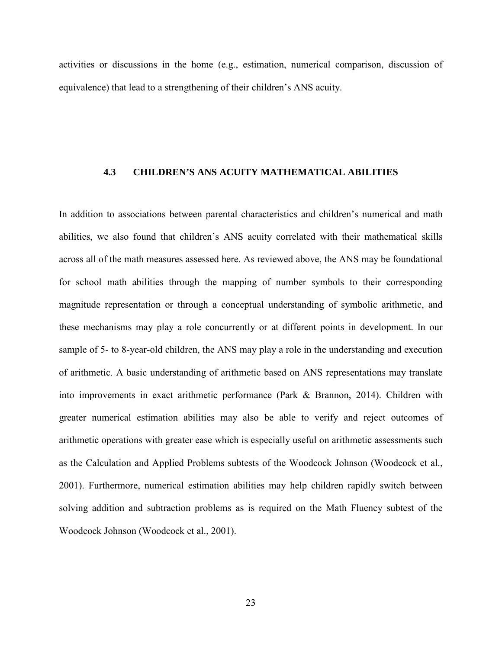activities or discussions in the home (e.g., estimation, numerical comparison, discussion of equivalence) that lead to a strengthening of their children's ANS acuity.

#### <span id="page-30-0"></span>**4.3 CHILDREN'S ANS ACUITY MATHEMATICAL ABILITIES**

In addition to associations between parental characteristics and children's numerical and math abilities, we also found that children's ANS acuity correlated with their mathematical skills across all of the math measures assessed here. As reviewed above, the ANS may be foundational for school math abilities through the mapping of number symbols to their corresponding magnitude representation or through a conceptual understanding of symbolic arithmetic, and these mechanisms may play a role concurrently or at different points in development. In our sample of 5- to 8-year-old children, the ANS may play a role in the understanding and execution of arithmetic. A basic understanding of arithmetic based on ANS representations may translate into improvements in exact arithmetic performance (Park & Brannon, 2014). Children with greater numerical estimation abilities may also be able to verify and reject outcomes of arithmetic operations with greater ease which is especially useful on arithmetic assessments such as the Calculation and Applied Problems subtests of the Woodcock Johnson (Woodcock et al., 2001). Furthermore, numerical estimation abilities may help children rapidly switch between solving addition and subtraction problems as is required on the Math Fluency subtest of the Woodcock Johnson (Woodcock et al., 2001).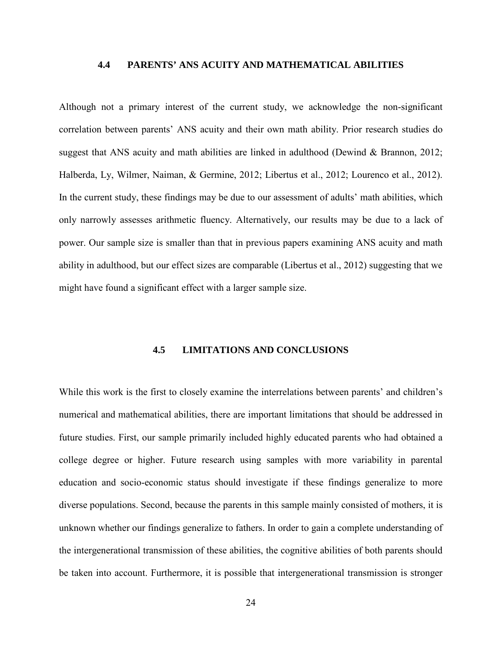#### <span id="page-31-0"></span>**4.4 PARENTS' ANS ACUITY AND MATHEMATICAL ABILITIES**

Although not a primary interest of the current study, we acknowledge the non-significant correlation between parents' ANS acuity and their own math ability. Prior research studies do suggest that ANS acuity and math abilities are linked in adulthood (Dewind & Brannon, 2012; Halberda, Ly, Wilmer, Naiman, & Germine, 2012; Libertus et al., 2012; Lourenco et al., 2012). In the current study, these findings may be due to our assessment of adults' math abilities, which only narrowly assesses arithmetic fluency. Alternatively, our results may be due to a lack of power. Our sample size is smaller than that in previous papers examining ANS acuity and math ability in adulthood, but our effect sizes are comparable (Libertus et al., 2012) suggesting that we might have found a significant effect with a larger sample size.

# **4.5 LIMITATIONS AND CONCLUSIONS**

<span id="page-31-1"></span>While this work is the first to closely examine the interrelations between parents' and children's numerical and mathematical abilities, there are important limitations that should be addressed in future studies. First, our sample primarily included highly educated parents who had obtained a college degree or higher. Future research using samples with more variability in parental education and socio-economic status should investigate if these findings generalize to more diverse populations. Second, because the parents in this sample mainly consisted of mothers, it is unknown whether our findings generalize to fathers. In order to gain a complete understanding of the intergenerational transmission of these abilities, the cognitive abilities of both parents should be taken into account. Furthermore, it is possible that intergenerational transmission is stronger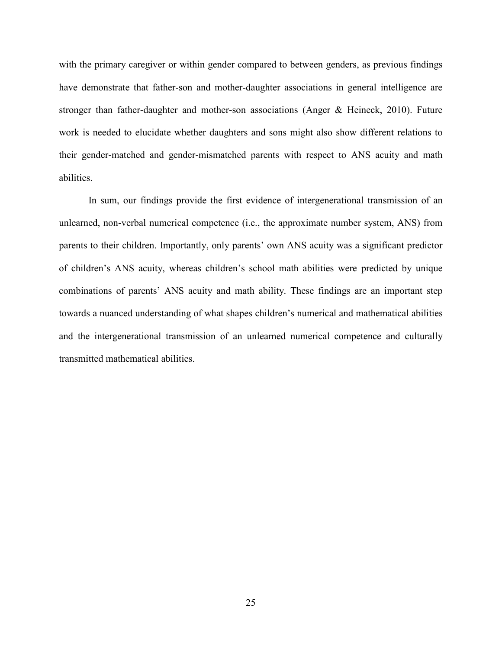with the primary caregiver or within gender compared to between genders, as previous findings have demonstrate that father-son and mother-daughter associations in general intelligence are stronger than father-daughter and mother-son associations (Anger & Heineck, 2010). Future work is needed to elucidate whether daughters and sons might also show different relations to their gender-matched and gender-mismatched parents with respect to ANS acuity and math abilities.

In sum, our findings provide the first evidence of intergenerational transmission of an unlearned, non-verbal numerical competence (i.e., the approximate number system, ANS) from parents to their children. Importantly, only parents' own ANS acuity was a significant predictor of children's ANS acuity, whereas children's school math abilities were predicted by unique combinations of parents' ANS acuity and math ability. These findings are an important step towards a nuanced understanding of what shapes children's numerical and mathematical abilities and the intergenerational transmission of an unlearned numerical competence and culturally transmitted mathematical abilities.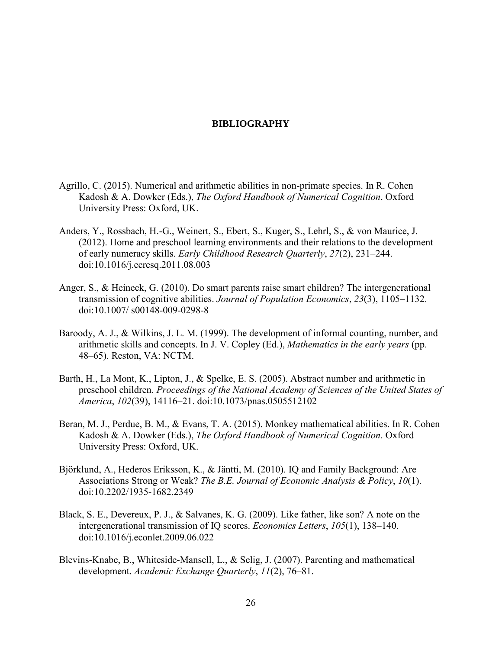#### **BIBLIOGRAPHY**

- <span id="page-33-0"></span>Agrillo, C. (2015). Numerical and arithmetic abilities in non-primate species. In R. Cohen Kadosh & A. Dowker (Eds.), *The Oxford Handbook of Numerical Cognition*. Oxford University Press: Oxford, UK.
- Anders, Y., Rossbach, H.-G., Weinert, S., Ebert, S., Kuger, S., Lehrl, S., & von Maurice, J. (2012). Home and preschool learning environments and their relations to the development of early numeracy skills. *Early Childhood Research Quarterly*, *27*(2), 231–244. doi:10.1016/j.ecresq.2011.08.003
- Anger, S., & Heineck, G. (2010). Do smart parents raise smart children? The intergenerational transmission of cognitive abilities. *Journal of Population Economics*, *23*(3), 1105–1132. doi:10.1007/ s00148-009-0298-8
- Baroody, A. J., & Wilkins, J. L. M. (1999). The development of informal counting, number, and arithmetic skills and concepts. In J. V. Copley (Ed.), *Mathematics in the early years* (pp. 48–65). Reston, VA: NCTM.
- Barth, H., La Mont, K., Lipton, J., & Spelke, E. S. (2005). Abstract number and arithmetic in preschool children. *Proceedings of the National Academy of Sciences of the United States of America*, *102*(39), 14116–21. doi:10.1073/pnas.0505512102
- Beran, M. J., Perdue, B. M., & Evans, T. A. (2015). Monkey mathematical abilities. In R. Cohen Kadosh & A. Dowker (Eds.), *The Oxford Handbook of Numerical Cognition*. Oxford University Press: Oxford, UK.
- Björklund, A., Hederos Eriksson, K., & Jäntti, M. (2010). IQ and Family Background: Are Associations Strong or Weak? *The B.E. Journal of Economic Analysis & Policy*, *10*(1). doi:10.2202/1935-1682.2349
- Black, S. E., Devereux, P. J., & Salvanes, K. G. (2009). Like father, like son? A note on the intergenerational transmission of IQ scores. *Economics Letters*, *105*(1), 138–140. doi:10.1016/j.econlet.2009.06.022
- Blevins-Knabe, B., Whiteside-Mansell, L., & Selig, J. (2007). Parenting and mathematical development. *Academic Exchange Quarterly*, *11*(2), 76–81.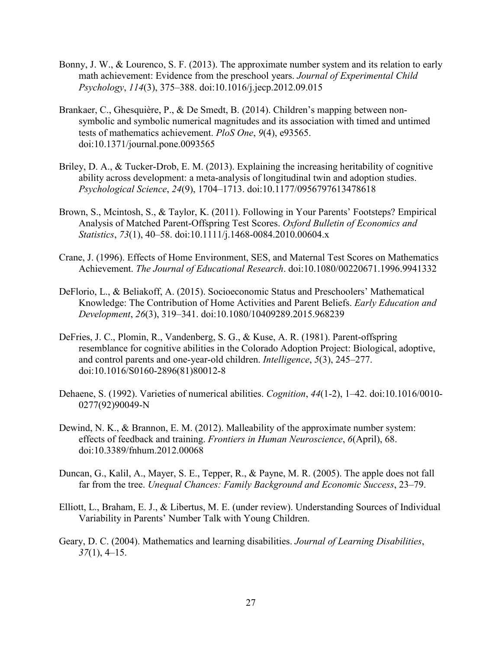- Bonny, J. W., & Lourenco, S. F. (2013). The approximate number system and its relation to early math achievement: Evidence from the preschool years. *Journal of Experimental Child Psychology*, *114*(3), 375–388. doi:10.1016/j.jecp.2012.09.015
- Brankaer, C., Ghesquière, P., & De Smedt, B. (2014). Children's mapping between nonsymbolic and symbolic numerical magnitudes and its association with timed and untimed tests of mathematics achievement. *PloS One*, *9*(4), e93565. doi:10.1371/journal.pone.0093565
- Briley, D. A., & Tucker-Drob, E. M. (2013). Explaining the increasing heritability of cognitive ability across development: a meta-analysis of longitudinal twin and adoption studies. *Psychological Science*, *24*(9), 1704–1713. doi:10.1177/0956797613478618
- Brown, S., Mcintosh, S., & Taylor, K. (2011). Following in Your Parents' Footsteps? Empirical Analysis of Matched Parent-Offspring Test Scores. *Oxford Bulletin of Economics and Statistics*, *73*(1), 40–58. doi:10.1111/j.1468-0084.2010.00604.x
- Crane, J. (1996). Effects of Home Environment, SES, and Maternal Test Scores on Mathematics Achievement. *The Journal of Educational Research*. doi:10.1080/00220671.1996.9941332
- DeFlorio, L., & Beliakoff, A. (2015). Socioeconomic Status and Preschoolers' Mathematical Knowledge: The Contribution of Home Activities and Parent Beliefs. *Early Education and Development*, *26*(3), 319–341. doi:10.1080/10409289.2015.968239
- DeFries, J. C., Plomin, R., Vandenberg, S. G., & Kuse, A. R. (1981). Parent-offspring resemblance for cognitive abilities in the Colorado Adoption Project: Biological, adoptive, and control parents and one-year-old children. *Intelligence*, *5*(3), 245–277. doi:10.1016/S0160-2896(81)80012-8
- Dehaene, S. (1992). Varieties of numerical abilities. *Cognition*, *44*(1-2), 1–42. doi:10.1016/0010- 0277(92)90049-N
- Dewind, N. K., & Brannon, E. M. (2012). Malleability of the approximate number system: effects of feedback and training. *Frontiers in Human Neuroscience*, *6*(April), 68. doi:10.3389/fnhum.2012.00068
- Duncan, G., Kalil, A., Mayer, S. E., Tepper, R., & Payne, M. R. (2005). The apple does not fall far from the tree. *Unequal Chances: Family Background and Economic Success*, 23–79.
- Elliott, L., Braham, E. J., & Libertus, M. E. (under review). Understanding Sources of Individual Variability in Parents' Number Talk with Young Children.
- Geary, D. C. (2004). Mathematics and learning disabilities. *Journal of Learning Disabilities*, *37*(1), 4–15.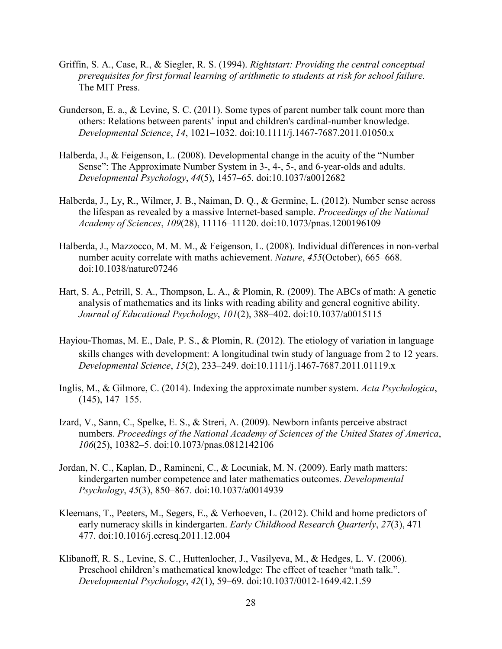- Griffin, S. A., Case, R., & Siegler, R. S. (1994). *Rightstart: Providing the central conceptual prerequisites for first formal learning of arithmetic to students at risk for school failure.* The MIT Press.
- Gunderson, E. a., & Levine, S. C. (2011). Some types of parent number talk count more than others: Relations between parents' input and children's cardinal-number knowledge. *Developmental Science*, *14*, 1021–1032. doi:10.1111/j.1467-7687.2011.01050.x
- Halberda, J., & Feigenson, L. (2008). Developmental change in the acuity of the "Number Sense": The Approximate Number System in 3-, 4-, 5-, and 6-year-olds and adults. *Developmental Psychology*, *44*(5), 1457–65. doi:10.1037/a0012682
- Halberda, J., Ly, R., Wilmer, J. B., Naiman, D. Q., & Germine, L. (2012). Number sense across the lifespan as revealed by a massive Internet-based sample. *Proceedings of the National Academy of Sciences*, *109*(28), 11116–11120. doi:10.1073/pnas.1200196109
- Halberda, J., Mazzocco, M. M. M., & Feigenson, L. (2008). Individual differences in non-verbal number acuity correlate with maths achievement. *Nature*, *455*(October), 665–668. doi:10.1038/nature07246
- Hart, S. A., Petrill, S. A., Thompson, L. A., & Plomin, R. (2009). The ABCs of math: A genetic analysis of mathematics and its links with reading ability and general cognitive ability. *Journal of Educational Psychology*, *101*(2), 388–402. doi:10.1037/a0015115
- Hayiou-Thomas, M. E., Dale, P. S., & Plomin, R. (2012). The etiology of variation in language skills changes with development: A longitudinal twin study of language from 2 to 12 years. *Developmental Science*, *15*(2), 233–249. doi:10.1111/j.1467-7687.2011.01119.x
- Inglis, M., & Gilmore, C. (2014). Indexing the approximate number system. *Acta Psychologica*, (145), 147–155.
- Izard, V., Sann, C., Spelke, E. S., & Streri, A. (2009). Newborn infants perceive abstract numbers. *Proceedings of the National Academy of Sciences of the United States of America*, *106*(25), 10382–5. doi:10.1073/pnas.0812142106
- Jordan, N. C., Kaplan, D., Ramineni, C., & Locuniak, M. N. (2009). Early math matters: kindergarten number competence and later mathematics outcomes. *Developmental Psychology*, *45*(3), 850–867. doi:10.1037/a0014939
- Kleemans, T., Peeters, M., Segers, E., & Verhoeven, L. (2012). Child and home predictors of early numeracy skills in kindergarten. *Early Childhood Research Quarterly*, *27*(3), 471– 477. doi:10.1016/j.ecresq.2011.12.004
- Klibanoff, R. S., Levine, S. C., Huttenlocher, J., Vasilyeva, M., & Hedges, L. V. (2006). Preschool children's mathematical knowledge: The effect of teacher "math talk.". *Developmental Psychology*, *42*(1), 59–69. doi:10.1037/0012-1649.42.1.59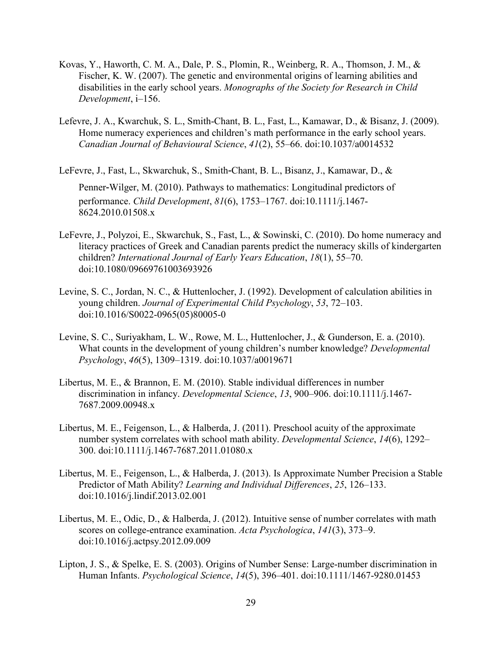- Kovas, Y., Haworth, C. M. A., Dale, P. S., Plomin, R., Weinberg, R. A., Thomson, J. M., & Fischer, K. W. (2007). The genetic and environmental origins of learning abilities and disabilities in the early school years. *Monographs of the Society for Research in Child Development*, i–156.
- Lefevre, J. A., Kwarchuk, S. L., Smith-Chant, B. L., Fast, L., Kamawar, D., & Bisanz, J. (2009). Home numeracy experiences and children's math performance in the early school years. *Canadian Journal of Behavioural Science*, *41*(2), 55–66. doi:10.1037/a0014532

LeFevre, J., Fast, L., Skwarchuk, S., Smith‐Chant, B. L., Bisanz, J., Kamawar, D., &

Penner‐Wilger, M. (2010). Pathways to mathematics: Longitudinal predictors of performance. *Child Development*, *81*(6), 1753–1767. doi:10.1111/j.1467- 8624.2010.01508.x

- LeFevre, J., Polyzoi, E., Skwarchuk, S., Fast, L., & Sowinski, C. (2010). Do home numeracy and literacy practices of Greek and Canadian parents predict the numeracy skills of kindergarten children? *International Journal of Early Years Education*, *18*(1), 55–70. doi:10.1080/09669761003693926
- Levine, S. C., Jordan, N. C., & Huttenlocher, J. (1992). Development of calculation abilities in young children. *Journal of Experimental Child Psychology*, *53*, 72–103. doi:10.1016/S0022-0965(05)80005-0
- Levine, S. C., Suriyakham, L. W., Rowe, M. L., Huttenlocher, J., & Gunderson, E. a. (2010). What counts in the development of young children's number knowledge? *Developmental Psychology*, *46*(5), 1309–1319. doi:10.1037/a0019671
- Libertus, M. E., & Brannon, E. M. (2010). Stable individual differences in number discrimination in infancy. *Developmental Science*, *13*, 900–906. doi:10.1111/j.1467- 7687.2009.00948.x
- Libertus, M. E., Feigenson, L., & Halberda, J. (2011). Preschool acuity of the approximate number system correlates with school math ability. *Developmental Science*, *14*(6), 1292– 300. doi:10.1111/j.1467-7687.2011.01080.x
- Libertus, M. E., Feigenson, L., & Halberda, J. (2013). Is Approximate Number Precision a Stable Predictor of Math Ability? *Learning and Individual Differences*, *25*, 126–133. doi:10.1016/j.lindif.2013.02.001
- Libertus, M. E., Odic, D., & Halberda, J. (2012). Intuitive sense of number correlates with math scores on college-entrance examination. *Acta Psychologica*, *141*(3), 373–9. doi:10.1016/j.actpsy.2012.09.009
- Lipton, J. S., & Spelke, E. S. (2003). Origins of Number Sense: Large-number discrimination in Human Infants. *Psychological Science*, *14*(5), 396–401. doi:10.1111/1467-9280.01453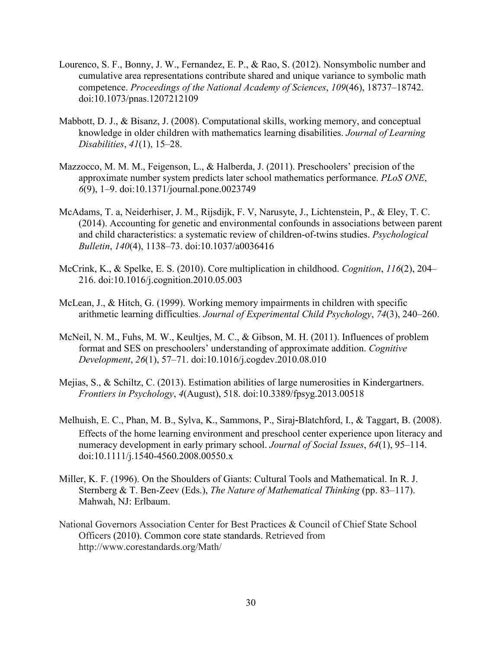- Lourenco, S. F., Bonny, J. W., Fernandez, E. P., & Rao, S. (2012). Nonsymbolic number and cumulative area representations contribute shared and unique variance to symbolic math competence. *Proceedings of the National Academy of Sciences*, *109*(46), 18737–18742. doi:10.1073/pnas.1207212109
- Mabbott, D. J., & Bisanz, J. (2008). Computational skills, working memory, and conceptual knowledge in older children with mathematics learning disabilities. *Journal of Learning Disabilities*, *41*(1), 15–28.
- Mazzocco, M. M. M., Feigenson, L., & Halberda, J. (2011). Preschoolers' precision of the approximate number system predicts later school mathematics performance. *PLoS ONE*, *6*(9), 1–9. doi:10.1371/journal.pone.0023749
- McAdams, T. a, Neiderhiser, J. M., Rijsdijk, F. V, Narusyte, J., Lichtenstein, P., & Eley, T. C. (2014). Accounting for genetic and environmental confounds in associations between parent and child characteristics: a systematic review of children-of-twins studies. *Psychological Bulletin*, *140*(4), 1138–73. doi:10.1037/a0036416
- McCrink, K., & Spelke, E. S. (2010). Core multiplication in childhood. *Cognition*, *116*(2), 204– 216. doi:10.1016/j.cognition.2010.05.003
- McLean, J., & Hitch, G. (1999). Working memory impairments in children with specific arithmetic learning difficulties. *Journal of Experimental Child Psychology*, *74*(3), 240–260.
- McNeil, N. M., Fuhs, M. W., Keultjes, M. C., & Gibson, M. H. (2011). Influences of problem format and SES on preschoolers' understanding of approximate addition. *Cognitive Development*, *26*(1), 57–71. doi:10.1016/j.cogdev.2010.08.010
- Mejias, S., & Schiltz, C. (2013). Estimation abilities of large numerosities in Kindergartners. *Frontiers in Psychology*, *4*(August), 518. doi:10.3389/fpsyg.2013.00518
- Melhuish, E. C., Phan, M. B., Sylva, K., Sammons, P., Siraj‐Blatchford, I., & Taggart, B. (2008). Effects of the home learning environment and preschool center experience upon literacy and numeracy development in early primary school. *Journal of Social Issues*, *64*(1), 95–114. doi:10.1111/j.1540-4560.2008.00550.x
- Miller, K. F. (1996). On the Shoulders of Giants: Cultural Tools and Mathematical. In R. J. Sternberg & T. Ben-Zeev (Eds.), *The Nature of Mathematical Thinking* (pp. 83–117). Mahwah, NJ: Erlbaum.
- National Governors Association Center for Best Practices & Council of Chief State School Officers (2010). Common core state standards. Retrieved from http://www.corestandards.org/Math/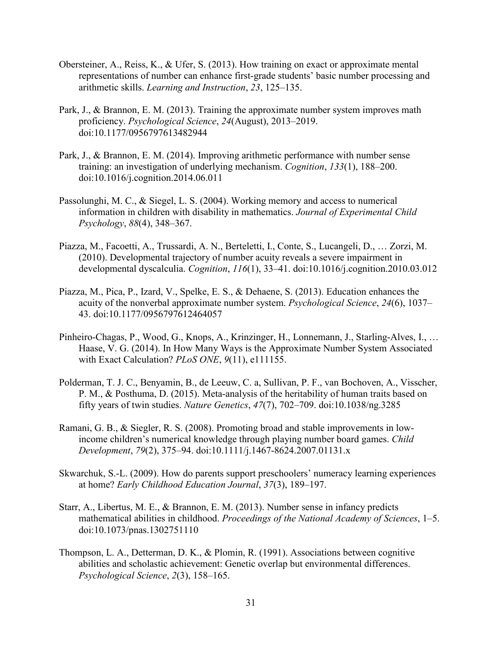- Obersteiner, A., Reiss, K., & Ufer, S. (2013). How training on exact or approximate mental representations of number can enhance first-grade students' basic number processing and arithmetic skills. *Learning and Instruction*, *23*, 125–135.
- Park, J., & Brannon, E. M. (2013). Training the approximate number system improves math proficiency. *Psychological Science*, *24*(August), 2013–2019. doi:10.1177/0956797613482944
- Park, J., & Brannon, E. M. (2014). Improving arithmetic performance with number sense training: an investigation of underlying mechanism. *Cognition*, *133*(1), 188–200. doi:10.1016/j.cognition.2014.06.011
- Passolunghi, M. C., & Siegel, L. S. (2004). Working memory and access to numerical information in children with disability in mathematics. *Journal of Experimental Child Psychology*, *88*(4), 348–367.
- Piazza, M., Facoetti, A., Trussardi, A. N., Berteletti, I., Conte, S., Lucangeli, D., … Zorzi, M. (2010). Developmental trajectory of number acuity reveals a severe impairment in developmental dyscalculia. *Cognition*, *116*(1), 33–41. doi:10.1016/j.cognition.2010.03.012
- Piazza, M., Pica, P., Izard, V., Spelke, E. S., & Dehaene, S. (2013). Education enhances the acuity of the nonverbal approximate number system. *Psychological Science*, *24*(6), 1037– 43. doi:10.1177/0956797612464057
- Pinheiro-Chagas, P., Wood, G., Knops, A., Krinzinger, H., Lonnemann, J., Starling-Alves, I., … Haase, V. G. (2014). In How Many Ways is the Approximate Number System Associated with Exact Calculation? *PLoS ONE*, *9*(11), e111155.
- Polderman, T. J. C., Benyamin, B., de Leeuw, C. a, Sullivan, P. F., van Bochoven, A., Visscher, P. M., & Posthuma, D. (2015). Meta-analysis of the heritability of human traits based on fifty years of twin studies. *Nature Genetics*, *47*(7), 702–709. doi:10.1038/ng.3285
- Ramani, G. B., & Siegler, R. S. (2008). Promoting broad and stable improvements in lowincome children's numerical knowledge through playing number board games. *Child Development*, *79*(2), 375–94. doi:10.1111/j.1467-8624.2007.01131.x
- Skwarchuk, S.-L. (2009). How do parents support preschoolers' numeracy learning experiences at home? *Early Childhood Education Journal*, *37*(3), 189–197.
- Starr, A., Libertus, M. E., & Brannon, E. M. (2013). Number sense in infancy predicts mathematical abilities in childhood. *Proceedings of the National Academy of Sciences*, 1–5. doi:10.1073/pnas.1302751110
- Thompson, L. A., Detterman, D. K., & Plomin, R. (1991). Associations between cognitive abilities and scholastic achievement: Genetic overlap but environmental differences. *Psychological Science*, *2*(3), 158–165.